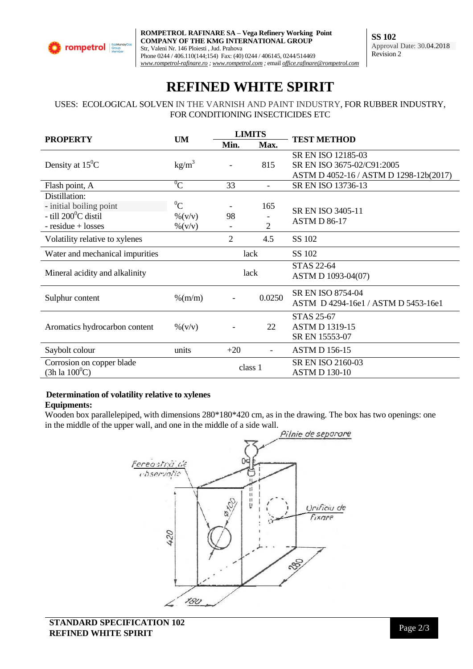

# **REFINED WHITE SPIRIT**

USES: ECOLOGICAL SOLVEN IN THE VARNISH AND PAINT INDUSTRY, FOR RUBBER INDUSTRY, FOR CONDITIONING INSECTICIDES ETC

| <b>PROPERTY</b>                       | <b>UM</b>          | <b>LIMITS</b>  |                          |                                          |
|---------------------------------------|--------------------|----------------|--------------------------|------------------------------------------|
|                                       |                    | Min.           | Max.                     | <b>TEST METHOD</b>                       |
| Density at $15^{\circ}$ C             | $\text{kg/m}^3$    |                | 815                      | SR EN ISO 12185-03                       |
|                                       |                    |                |                          | SR EN ISO 3675-02/C91:2005               |
|                                       |                    |                |                          | ASTM D 4052-16 / ASTM D 1298-12b(2017)   |
| Flash point, A                        | $^{0}C$            | 33             | $\overline{\phantom{a}}$ | SR EN ISO 13736-13                       |
| Distillation:                         |                    |                |                          |                                          |
| - initial boiling point               | ${}^{0}C$          |                | 165                      | SR EN ISO 3405-11<br><b>ASTM D 86-17</b> |
| - till $200^{\circ}$ C distil         | $\frac{9}{6}(V/V)$ | 98             |                          |                                          |
| $-$ residue $+$ losses                | $\% (V/V)$         |                | $\mathfrak{D}$           |                                          |
| Volatility relative to xylenes        |                    | $\overline{2}$ | 4.5                      | SS 102                                   |
| Water and mechanical impurities       |                    | lack           |                          | SS 102                                   |
|                                       |                    | lack           |                          | <b>STAS 22-64</b>                        |
| Mineral acidity and alkalinity        |                    |                |                          | ASTM D 1093-04(07)                       |
| Sulphur content                       | $\%$ (m/m)         |                | 0.0250                   | SR EN ISO 8754-04                        |
|                                       |                    |                |                          | ASTM D 4294-16e1 / ASTM D 5453-16e1      |
| Aromatics hydrocarbon content         | $\% (v/v)$         |                | 22                       | <b>STAS 25-67</b>                        |
|                                       |                    |                |                          | <b>ASTM D 1319-15</b>                    |
|                                       |                    |                |                          | SR EN 15553-07                           |
| Saybolt colour                        | units              | $+20$          | $\blacksquare$           | <b>ASTM D 156-15</b>                     |
| Corrosion on copper blade             |                    | class 1        |                          | SR EN ISO 2160-03                        |
| $(3h \, \text{la} \, 100^0 \text{C})$ |                    |                |                          | <b>ASTM D 130-10</b>                     |

## **Determination of volatility relative to xylenes**

#### **Equipments:**

Wooden box parallelepiped, with dimensions 280\*180\*420 cm, as in the drawing. The box has two openings: one in the middle of the upper wall, and one in the middle of a side wall.<br>Pilnie de seporare